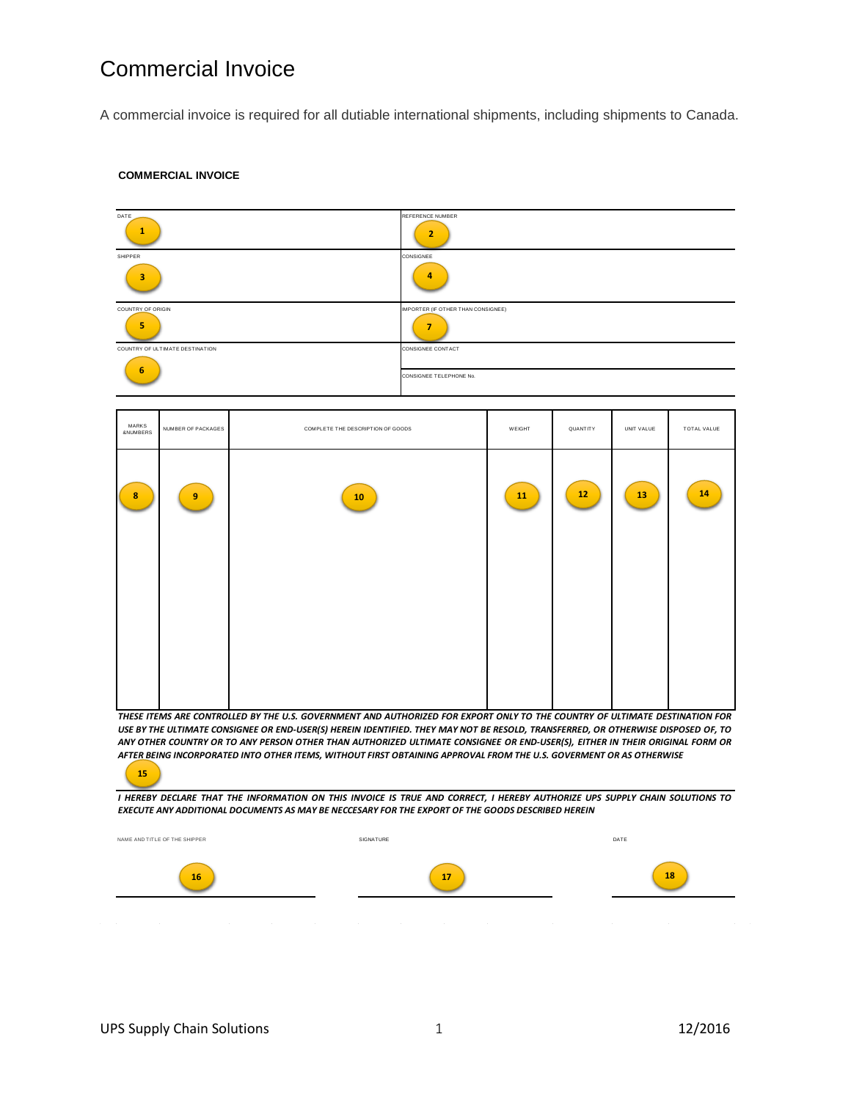# Commercial Invoice

A commercial invoice is required for all dutiable international shipments, including shipments to Canada.

#### **COMMERCIAL INVOICE**



ANY OTHER COUNTRY OR TO ANY PERSON OTHER THAN AUTHORIZED ULTIMATE CONSIGNEE OR END-USER(S), EITHER IN THEIR ORIGINAL FORM OR *AFTER BEING INCORPORATED INTO OTHER ITEMS, WITHOUT FIRST OBTAINING APPROVAL FROM THE U.S. GOVERMENT OR AS OTHERWISE*  **15**

I HEREBY DECLARE THAT THE INFORMATION ON THIS INVOICE IS TRUE AND CORRECT, I HEREBY AUTHORIZE UPS SUPPLY CHAIN SOLUTIONS TO *EXECUTE ANY ADDITIONAL DOCUMENTS AS MAY BE NECCESARY FOR THE EXPORT OF THE GOODS DESCRIBED HEREIN*

| NAME AND TITLE OF THE SHIPPER                                                                        | SIGNATURE                                                                                                                      | DATE                                         |
|------------------------------------------------------------------------------------------------------|--------------------------------------------------------------------------------------------------------------------------------|----------------------------------------------|
| 16                                                                                                   | 17                                                                                                                             | 18                                           |
| the contract of the con-<br><b>Contract Contract</b><br>$\sim$<br>$\sim$<br><b>Contract Contract</b> | <b>Contract Contract</b><br><b>Contract Contract Contract</b><br><b>Contract Contract Contract</b><br><b>Contract Contract</b> | $\sim$<br><b>Contract Contract</b><br>$\sim$ |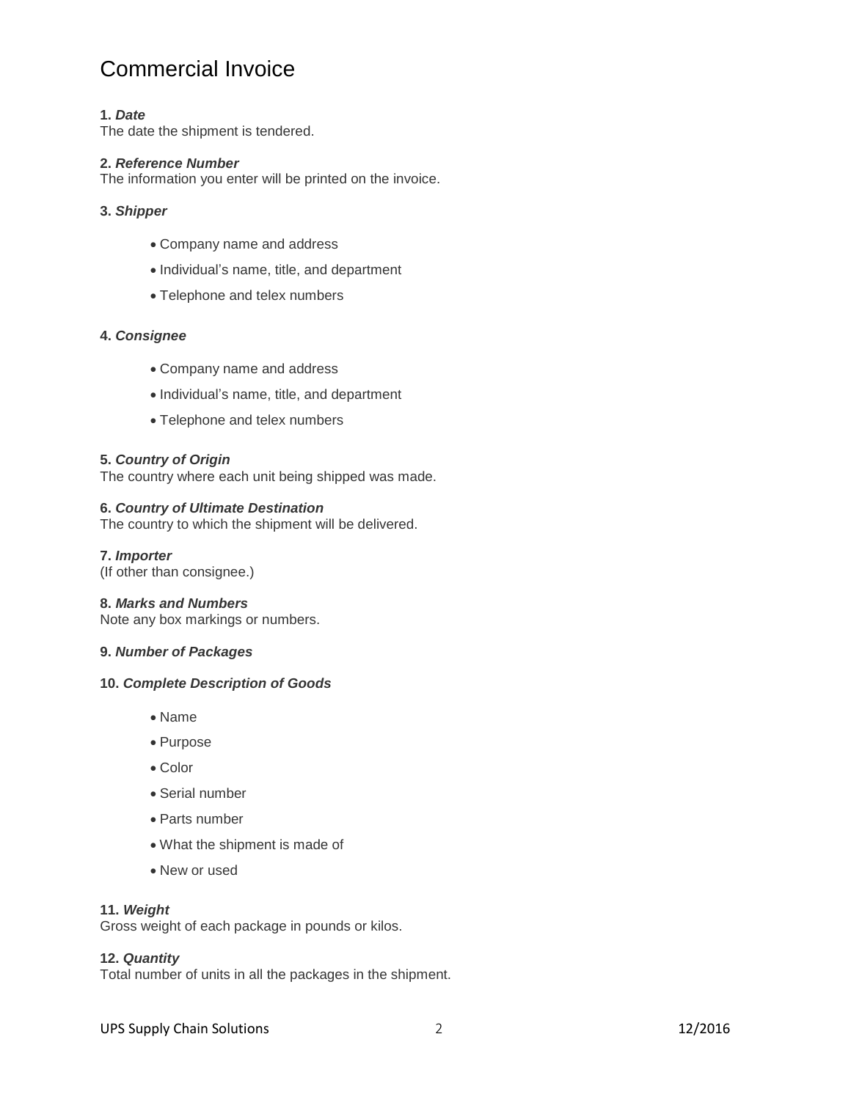# Commercial Invoice

# **1.** *Date*

The date the shipment is tendered.

# **2.** *Reference Number*

The information you enter will be printed on the invoice.

# **3.** *Shipper*

- Company name and address
- Individual's name, title, and department
- Telephone and telex numbers

# **4.** *Consignee*

- Company name and address
- Individual's name, title, and department
- Telephone and telex numbers

# **5.** *Country of Origin*

The country where each unit being shipped was made.

# **6.** *Country of Ultimate Destination*

The country to which the shipment will be delivered.

**7.** *Importer* (If other than consignee.)

#### **8.** *Marks and Numbers*

Note any box markings or numbers.

# **9.** *Number of Packages*

### **10.** *Complete Description of Goods*

- Name
- Purpose
- Color
- Serial number
- Parts number
- What the shipment is made of
- New or used

### **11.** *Weight*

Gross weight of each package in pounds or kilos.

# **12.** *Quantity*

Total number of units in all the packages in the shipment.